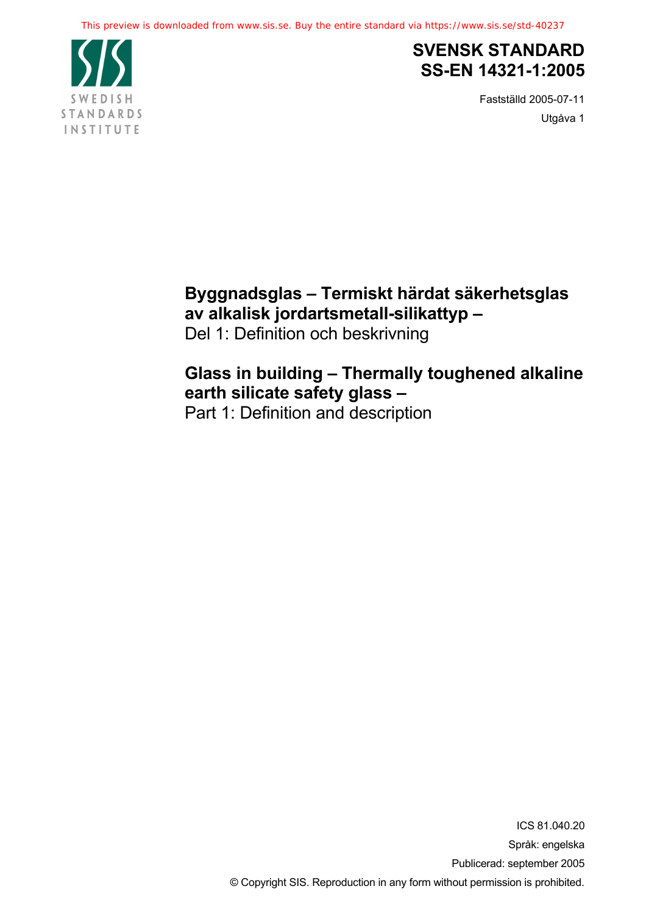

## **SVENSK STANDARD SS-EN 14321-1:2005**

Fastställd 2005-07-11 Utgåva 1

# **Byggnadsglas – Termiskt härdat säkerhetsglas av alkalisk jordartsmetall-silikattyp –**

Del 1: Definition och beskrivning

# **Glass in building – Thermally toughened alkaline earth silicate safety glass –**

Part 1: Definition and description

ICS 81.040.20 Språk: engelska Publicerad: september 2005 © Copyright SIS. Reproduction in any form without permission is prohibited.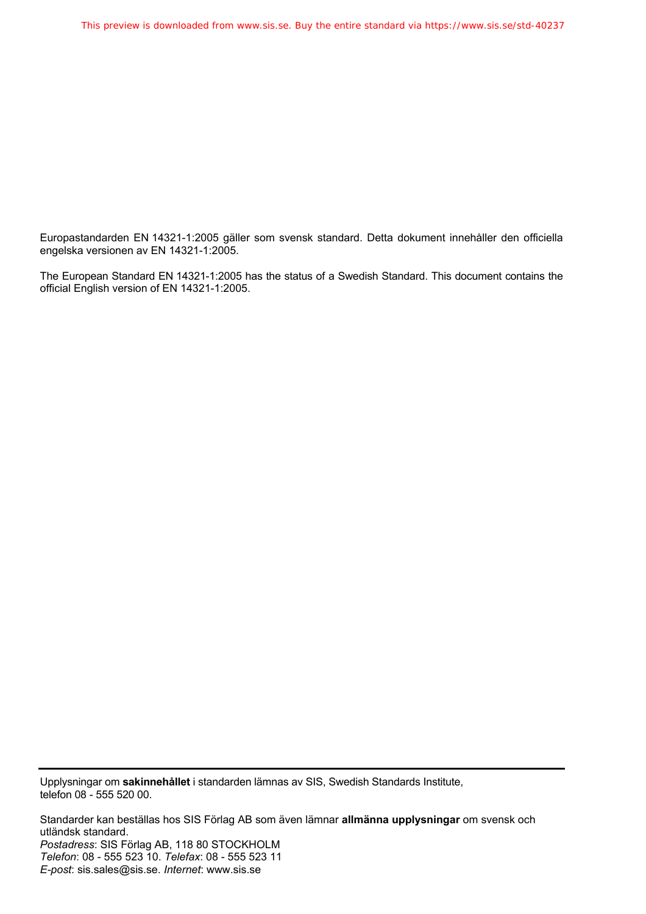Europastandarden EN 14321-1:2005 gäller som svensk standard. Detta dokument innehåller den officiella engelska versionen av EN 14321-1:2005.

The European Standard EN 14321-1:2005 has the status of a Swedish Standard. This document contains the official English version of EN 14321-1:2005.

Upplysningar om **sakinnehållet** i standarden lämnas av SIS, Swedish Standards Institute, telefon 08 - 555 520 00.

Standarder kan beställas hos SIS Förlag AB som även lämnar **allmänna upplysningar** om svensk och utländsk standard. *Postadress*: SIS Förlag AB, 118 80 STOCKHOLM *Telefon*: 08 - 555 523 10. *Telefax*: 08 - 555 523 11 *E-post*: sis.sales@sis.se. *Internet*: www.sis.se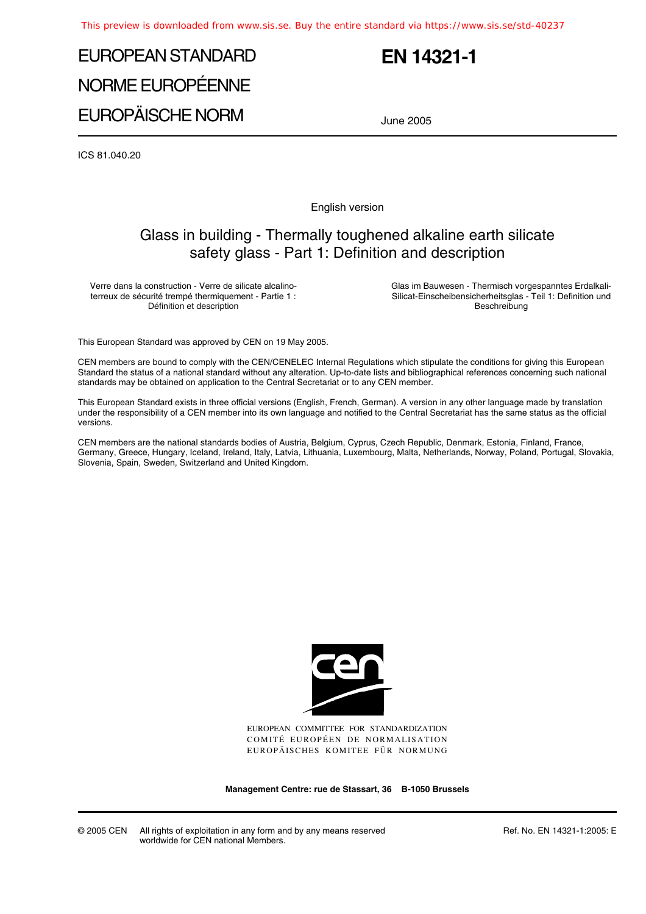# EUROPEAN STANDARD NORME EUROPÉENNE EUROPÄISCHE NORM

## **EN 14321-1**

June 2005

ICS 81.040.20

English version

## Glass in building - Thermally toughened alkaline earth silicate safety glass - Part 1: Definition and description

Verre dans la construction - Verre de silicate alcalinoterreux de sécurité trempé thermiquement - Partie 1 : Définition et description

Glas im Bauwesen - Thermisch vorgespanntes Erdalkali-Silicat-Einscheibensicherheitsglas - Teil 1: Definition und Beschreibung

This European Standard was approved by CEN on 19 May 2005.

CEN members are bound to comply with the CEN/CENELEC Internal Regulations which stipulate the conditions for giving this European Standard the status of a national standard without any alteration. Up-to-date lists and bibliographical references concerning such national standards may be obtained on application to the Central Secretariat or to any CEN member.

This European Standard exists in three official versions (English, French, German). A version in any other language made by translation under the responsibility of a CEN member into its own language and notified to the Central Secretariat has the same status as the official versions.

CEN members are the national standards bodies of Austria, Belgium, Cyprus, Czech Republic, Denmark, Estonia, Finland, France, Germany, Greece, Hungary, Iceland, Ireland, Italy, Latvia, Lithuania, Luxembourg, Malta, Netherlands, Norway, Poland, Portugal, Slovakia, Slovenia, Spain, Sweden, Switzerland and United Kingdom.



EUROPEAN COMMITTEE FOR STANDARDIZATION COMITÉ EUROPÉEN DE NORMALISATION EUROPÄISCHES KOMITEE FÜR NORMUNG

**Management Centre: rue de Stassart, 36 B-1050 Brussels**

© 2005 CEN All rights of exploitation in any form and by any means reserved worldwide for CEN national Members.

Ref. No. EN 14321-1:2005: E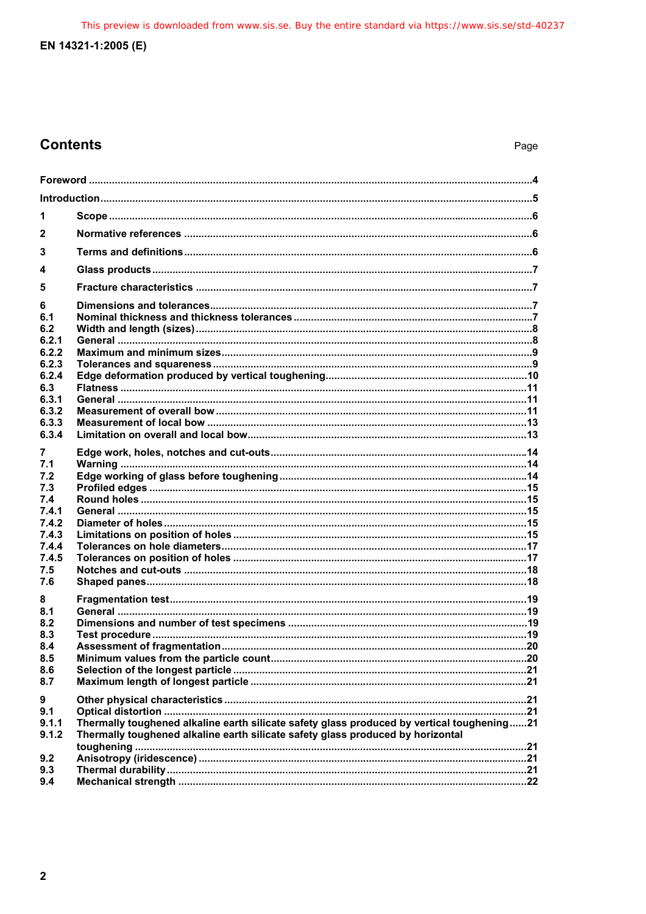This preview is downloaded from www.sis.se. Buy the entire standard via https://www.sis.se/std-40237

## EN 14321-1:2005 (E)

## **Contents**

| 1                                                  |                                                                                                                                                                               |  |  |  |
|----------------------------------------------------|-------------------------------------------------------------------------------------------------------------------------------------------------------------------------------|--|--|--|
| $\mathbf{2}$                                       |                                                                                                                                                                               |  |  |  |
| 3                                                  |                                                                                                                                                                               |  |  |  |
| 4                                                  |                                                                                                                                                                               |  |  |  |
| 5                                                  |                                                                                                                                                                               |  |  |  |
| 6<br>6.1<br>6.2<br>6.2.1                           |                                                                                                                                                                               |  |  |  |
| 6.2.2                                              |                                                                                                                                                                               |  |  |  |
| 6.2.3<br>6.2.4<br>6.3<br>6.3.1<br>6.3.2<br>6.3.3   |                                                                                                                                                                               |  |  |  |
| 6.3.4                                              |                                                                                                                                                                               |  |  |  |
| 7<br>7.1<br>7.2<br>7.3<br>7.4<br>7.4.1             |                                                                                                                                                                               |  |  |  |
| 7.4.2<br>7.4.3                                     |                                                                                                                                                                               |  |  |  |
| 7.4.4<br>7.4.5<br>7.5<br>7.6                       |                                                                                                                                                                               |  |  |  |
| 8<br>8.1<br>8.2<br>8.3<br>8.4<br>8.5<br>8.6<br>8.7 |                                                                                                                                                                               |  |  |  |
| 9<br>9.1<br>9.1.1<br>9.1.2                         | Thermally toughened alkaline earth silicate safety glass produced by vertical toughening21<br>Thermally toughened alkaline earth silicate safety glass produced by horizontal |  |  |  |
| 9.2<br>9.3<br>9.4                                  |                                                                                                                                                                               |  |  |  |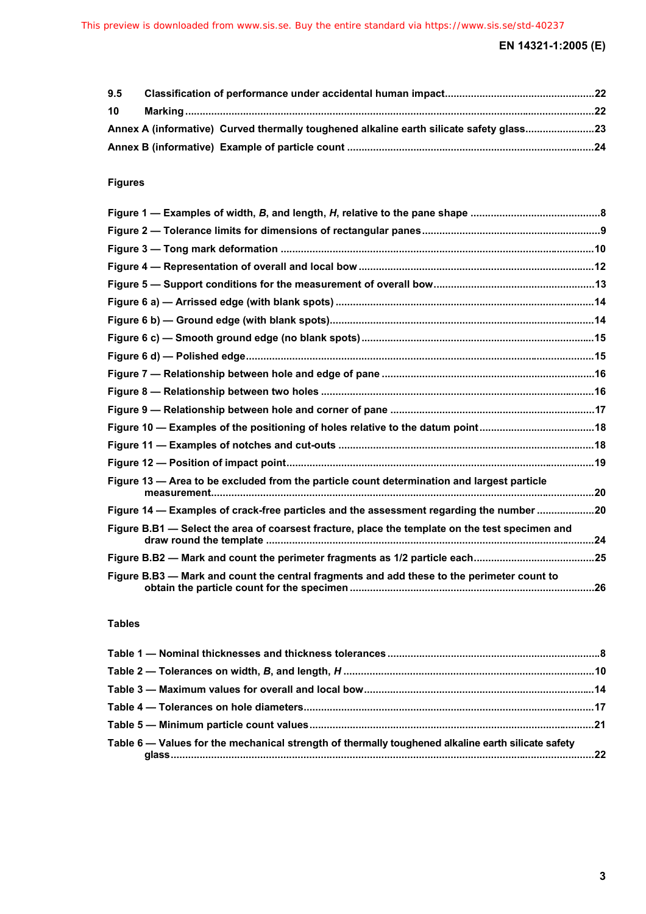| 9.5 |  |                                                                                         |  |
|-----|--|-----------------------------------------------------------------------------------------|--|
| 10  |  |                                                                                         |  |
|     |  | Annex A (informative) Curved thermally toughened alkaline earth silicate safety glass23 |  |
|     |  |                                                                                         |  |

## **Figures**

| Figure 10 - Examples of the positioning of holes relative to the datum point18                  |  |
|-------------------------------------------------------------------------------------------------|--|
|                                                                                                 |  |
|                                                                                                 |  |
| Figure 13 - Area to be excluded from the particle count determination and largest particle      |  |
| Figure 14 - Examples of crack-free particles and the assessment regarding the number 20         |  |
| Figure B.B1 — Select the area of coarsest fracture, place the template on the test specimen and |  |
|                                                                                                 |  |
| Figure B.B3 — Mark and count the central fragments and add these to the perimeter count to      |  |

#### **Tables**

| Table 6 - Values for the mechanical strength of thermally toughened alkaline earth silicate safety |  |
|----------------------------------------------------------------------------------------------------|--|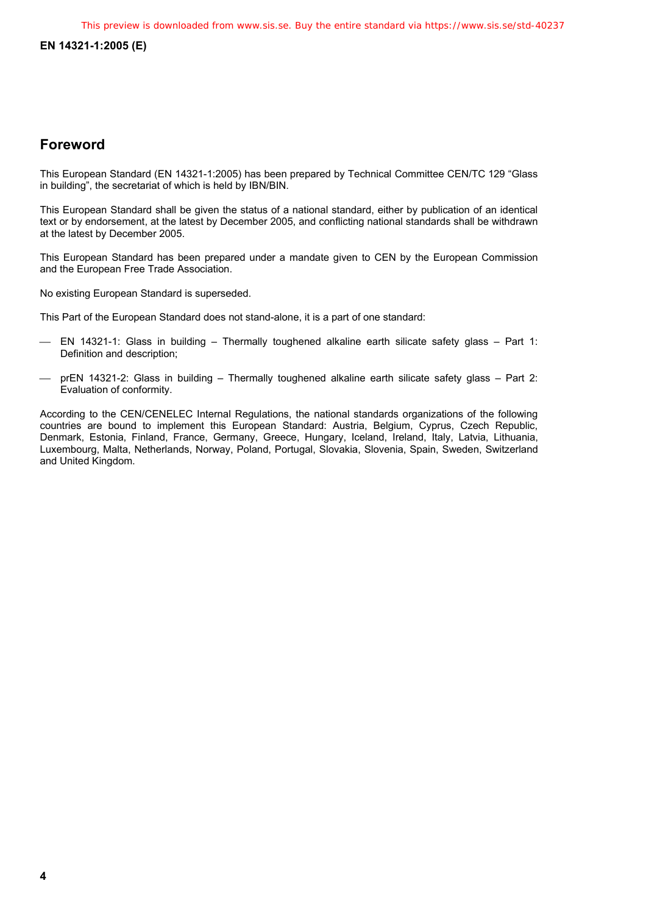### **Foreword**

This European Standard (EN 14321-1:2005) has been prepared by Technical Committee CEN/TC 129 "Glass in building", the secretariat of which is held by IBN/BIN.

This European Standard shall be given the status of a national standard, either by publication of an identical text or by endorsement, at the latest by December 2005, and conflicting national standards shall be withdrawn at the latest by December 2005.

This European Standard has been prepared under a mandate given to CEN by the European Commission and the European Free Trade Association.

No existing European Standard is superseded.

This Part of the European Standard does not stand-alone, it is a part of one standard:

- EN 14321-1: Glass in building Thermally toughened alkaline earth silicate safety glass Part 1: Definition and description;
- prEN 14321-2: Glass in building Thermally toughened alkaline earth silicate safety glass Part 2: Evaluation of conformity.

According to the CEN/CENELEC Internal Regulations, the national standards organizations of the following countries are bound to implement this European Standard: Austria, Belgium, Cyprus, Czech Republic, Denmark, Estonia, Finland, France, Germany, Greece, Hungary, Iceland, Ireland, Italy, Latvia, Lithuania, Luxembourg, Malta, Netherlands, Norway, Poland, Portugal, Slovakia, Slovenia, Spain, Sweden, Switzerland and United Kingdom.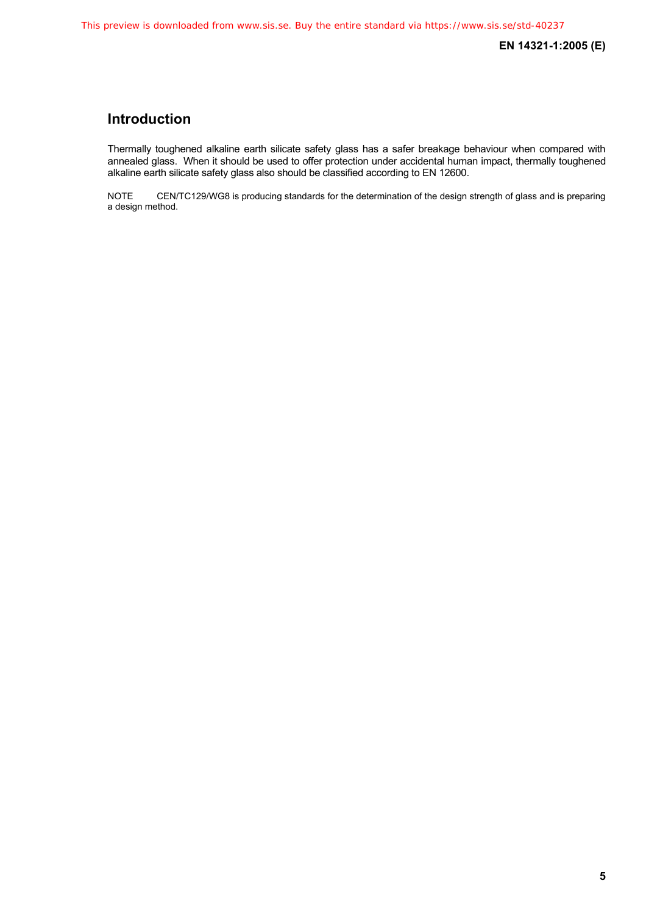### **Introduction**

Thermally toughened alkaline earth silicate safety glass has a safer breakage behaviour when compared with annealed glass. When it should be used to offer protection under accidental human impact, thermally toughened alkaline earth silicate safety glass also should be classified according to EN 12600.

NOTE CEN/TC129/WG8 is producing standards for the determination of the design strength of glass and is preparing a design method.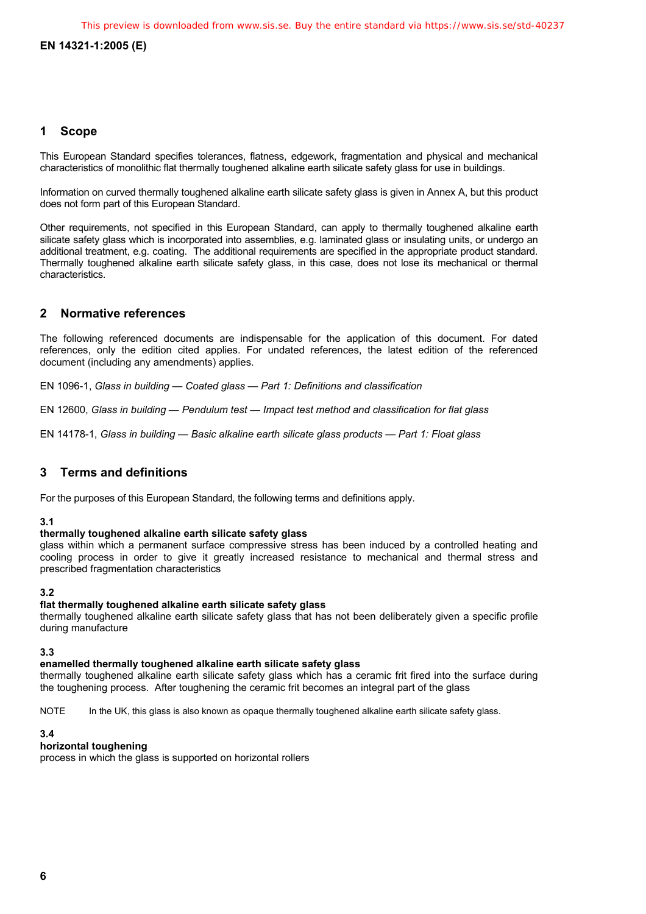#### **1 Scope**

This European Standard specifies tolerances, flatness, edgework, fragmentation and physical and mechanical characteristics of monolithic flat thermally toughened alkaline earth silicate safety glass for use in buildings.

Information on curved thermally toughened alkaline earth silicate safety glass is given in Annex A, but this product does not form part of this European Standard.

Other requirements, not specified in this European Standard, can apply to thermally toughened alkaline earth silicate safety glass which is incorporated into assemblies, e.g. laminated glass or insulating units, or undergo an additional treatment, e.g. coating. The additional requirements are specified in the appropriate product standard. Thermally toughened alkaline earth silicate safety glass, in this case, does not lose its mechanical or thermal characteristics.

#### **2 Normative references**

The following referenced documents are indispensable for the application of this document. For dated references, only the edition cited applies. For undated references, the latest edition of the referenced document (including any amendments) applies.

EN 1096-1, *Glass in building — Coated glass — Part 1: Definitions and classification* 

EN 12600, *Glass in building — Pendulum test — Impact test method and classification for flat glass*

EN 14178-1, *Glass in building — Basic alkaline earth silicate glass products — Part 1: Float glass*

#### **3 Terms and definitions**

For the purposes of this European Standard, the following terms and definitions apply.

#### **3.1**

#### **thermally toughened alkaline earth silicate safety glass**

glass within which a permanent surface compressive stress has been induced by a controlled heating and cooling process in order to give it greatly increased resistance to mechanical and thermal stress and prescribed fragmentation characteristics

#### **3.2**

#### **flat thermally toughened alkaline earth silicate safety glass**

thermally toughened alkaline earth silicate safety glass that has not been deliberately given a specific profile during manufacture

#### **3.3**

#### **enamelled thermally toughened alkaline earth silicate safety glass**

thermally toughened alkaline earth silicate safety glass which has a ceramic frit fired into the surface during the toughening process. After toughening the ceramic frit becomes an integral part of the glass

NOTE In the UK, this glass is also known as opaque thermally toughened alkaline earth silicate safety glass.

#### **3.4**

#### **horizontal toughening**

process in which the glass is supported on horizontal rollers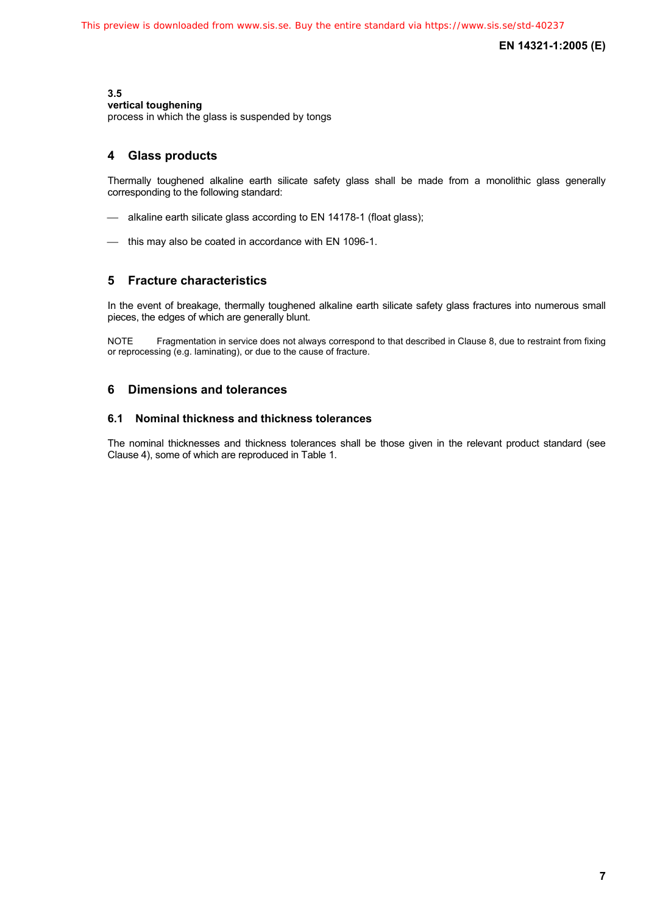#### **3.5**

#### **vertical toughening**

process in which the glass is suspended by tongs

#### **4 Glass products**

Thermally toughened alkaline earth silicate safety glass shall be made from a monolithic glass generally corresponding to the following standard:

- alkaline earth silicate glass according to EN 14178-1 (float glass);
- this may also be coated in accordance with EN 1096-1.

#### **5 Fracture characteristics**

In the event of breakage, thermally toughened alkaline earth silicate safety glass fractures into numerous small pieces, the edges of which are generally blunt.

NOTE Fragmentation in service does not always correspond to that described in Clause 8, due to restraint from fixing or reprocessing (e.g. laminating), or due to the cause of fracture.

#### **6 Dimensions and tolerances**

#### **6.1 Nominal thickness and thickness tolerances**

The nominal thicknesses and thickness tolerances shall be those given in the relevant product standard (see Clause 4), some of which are reproduced in Table 1.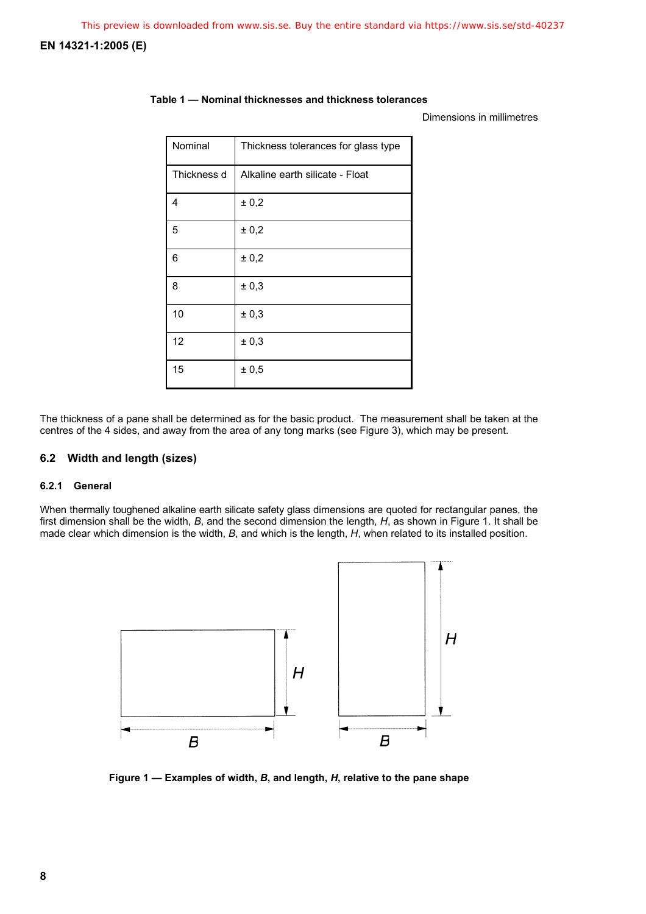#### **Table 1 — Nominal thicknesses and thickness tolerances**

#### Dimensions in millimetres

| Nominal     | Thickness tolerances for glass type |
|-------------|-------------------------------------|
| Thickness d | Alkaline earth silicate - Float     |
| 4           | ± 0,2                               |
| 5           | ± 0,2                               |
| 6           | ± 0,2                               |
| 8           | ± 0,3                               |
| 10          | ± 0,3                               |
| 12          | ± 0,3                               |
| 15          | ± 0,5                               |

The thickness of a pane shall be determined as for the basic product. The measurement shall be taken at the centres of the 4 sides, and away from the area of any tong marks (see Figure 3), which may be present.

#### **6.2 Width and length (sizes)**

#### **6.2.1 General**

When thermally toughened alkaline earth silicate safety glass dimensions are quoted for rectangular panes, the first dimension shall be the width, *B*, and the second dimension the length, *H*, as shown in Figure 1. It shall be made clear which dimension is the width, *B*, and which is the length, *H*, when related to its installed position.



**Figure 1 — Examples of width,** *B***, and length,** *H***, relative to the pane shape**